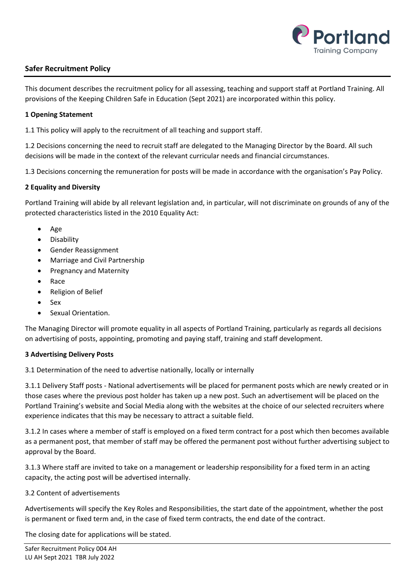

# **Safer Recruitment Policy**

This document describes the recruitment policy for all assessing, teaching and support staff at Portland Training. All provisions of the Keeping Children Safe in Education (Sept 2021) are incorporated within this policy.

#### **1 Opening Statement**

1.1 This policy will apply to the recruitment of all teaching and support staff.

1.2 Decisions concerning the need to recruit staff are delegated to the Managing Director by the Board. All such decisions will be made in the context of the relevant curricular needs and financial circumstances.

1.3 Decisions concerning the remuneration for posts will be made in accordance with the organisation's Pay Policy.

### **2 Equality and Diversity**

Portland Training will abide by all relevant legislation and, in particular, will not discriminate on grounds of any of the protected characteristics listed in the 2010 Equality Act:

- Age
- Disability
- Gender Reassignment
- Marriage and Civil Partnership
- Pregnancy and Maternity
- Race
- Religion of Belief
- Sex
- Sexual Orientation.

The Managing Director will promote equality in all aspects of Portland Training, particularly as regards all decisions on advertising of posts, appointing, promoting and paying staff, training and staff development.

#### **3 Advertising Delivery Posts**

3.1 Determination of the need to advertise nationally, locally or internally

3.1.1 Delivery Staff posts - National advertisements will be placed for permanent posts which are newly created or in those cases where the previous post holder has taken up a new post. Such an advertisement will be placed on the Portland Training's website and Social Media along with the websites at the choice of our selected recruiters where experience indicates that this may be necessary to attract a suitable field.

3.1.2 In cases where a member of staff is employed on a fixed term contract for a post which then becomes available as a permanent post, that member of staff may be offered the permanent post without further advertising subject to approval by the Board.

3.1.3 Where staff are invited to take on a management or leadership responsibility for a fixed term in an acting capacity, the acting post will be advertised internally.

#### 3.2 Content of advertisements

Advertisements will specify the Key Roles and Responsibilities, the start date of the appointment, whether the post is permanent or fixed term and, in the case of fixed term contracts, the end date of the contract.

The closing date for applications will be stated.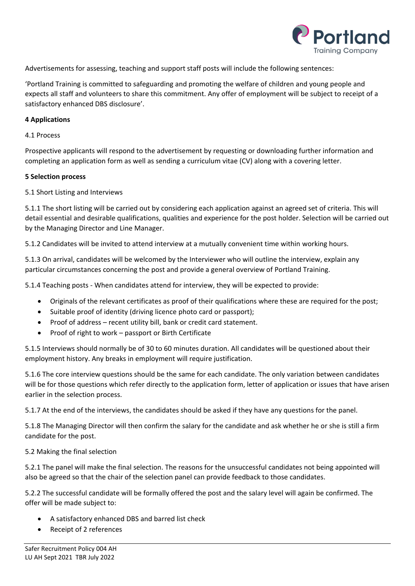

Advertisements for assessing, teaching and support staff posts will include the following sentences:

'Portland Training is committed to safeguarding and promoting the welfare of children and young people and expects all staff and volunteers to share this commitment. Any offer of employment will be subject to receipt of a satisfactory enhanced DBS disclosure'.

#### **4 Applications**

#### 4.1 Process

Prospective applicants will respond to the advertisement by requesting or downloading further information and completing an application form as well as sending a curriculum vitae (CV) along with a covering letter.

#### **5 Selection process**

### 5.1 Short Listing and Interviews

5.1.1 The short listing will be carried out by considering each application against an agreed set of criteria. This will detail essential and desirable qualifications, qualities and experience for the post holder. Selection will be carried out by the Managing Director and Line Manager.

5.1.2 Candidates will be invited to attend interview at a mutually convenient time within working hours.

5.1.3 On arrival, candidates will be welcomed by the Interviewer who will outline the interview, explain any particular circumstances concerning the post and provide a general overview of Portland Training.

5.1.4 Teaching posts - When candidates attend for interview, they will be expected to provide:

- Originals of the relevant certificates as proof of their qualifications where these are required for the post;
- Suitable proof of identity (driving licence photo card or passport);
- Proof of address recent utility bill, bank or credit card statement.
- Proof of right to work passport or Birth Certificate

5.1.5 Interviews should normally be of 30 to 60 minutes duration. All candidates will be questioned about their employment history. Any breaks in employment will require justification.

5.1.6 The core interview questions should be the same for each candidate. The only variation between candidates will be for those questions which refer directly to the application form, letter of application or issues that have arisen earlier in the selection process.

5.1.7 At the end of the interviews, the candidates should be asked if they have any questions for the panel.

5.1.8 The Managing Director will then confirm the salary for the candidate and ask whether he or she is still a firm candidate for the post.

#### 5.2 Making the final selection

5.2.1 The panel will make the final selection. The reasons for the unsuccessful candidates not being appointed will also be agreed so that the chair of the selection panel can provide feedback to those candidates.

5.2.2 The successful candidate will be formally offered the post and the salary level will again be confirmed. The offer will be made subject to:

- A satisfactory enhanced DBS and barred list check
- Receipt of 2 references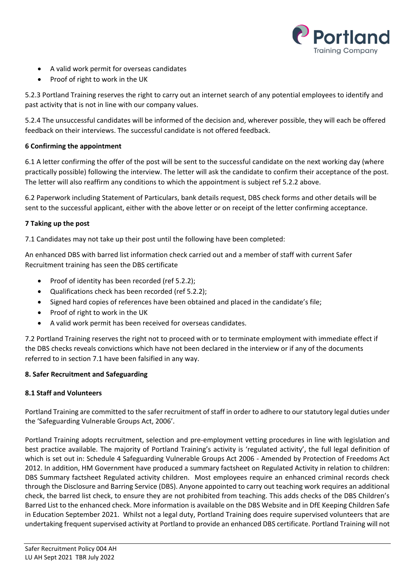

- A valid work permit for overseas candidates
- Proof of right to work in the UK

5.2.3 Portland Training reserves the right to carry out an internet search of any potential employees to identify and past activity that is not in line with our company values.

5.2.4 The unsuccessful candidates will be informed of the decision and, wherever possible, they will each be offered feedback on their interviews. The successful candidate is not offered feedback.

### **6 Confirming the appointment**

6.1 A letter confirming the offer of the post will be sent to the successful candidate on the next working day (where practically possible) following the interview. The letter will ask the candidate to confirm their acceptance of the post. The letter will also reaffirm any conditions to which the appointment is subject ref 5.2.2 above.

6.2 Paperwork including Statement of Particulars, bank details request, DBS check forms and other details will be sent to the successful applicant, either with the above letter or on receipt of the letter confirming acceptance.

### **7 Taking up the post**

7.1 Candidates may not take up their post until the following have been completed:

An enhanced DBS with barred list information check carried out and a member of staff with current Safer Recruitment training has seen the DBS certificate

- Proof of identity has been recorded (ref 5.2.2);
- Qualifications check has been recorded (ref 5.2.2);
- Signed hard copies of references have been obtained and placed in the candidate's file;
- Proof of right to work in the UK
- A valid work permit has been received for overseas candidates.

7.2 Portland Training reserves the right not to proceed with or to terminate employment with immediate effect if the DBS checks reveals convictions which have not been declared in the interview or if any of the documents referred to in section 7.1 have been falsified in any way.

## **8. Safer Recruitment and Safeguarding**

## **8.1 Staff and Volunteers**

Portland Training are committed to the safer recruitment of staff in order to adhere to our statutory legal duties under the 'Safeguarding Vulnerable Groups Act, 2006'.

Portland Training adopts recruitment, selection and pre-employment vetting procedures in line with legislation and best practice available. The majority of Portland Training's activity is 'regulated activity', the full legal definition of which is set out in: Schedule 4 Safeguarding Vulnerable Groups Act 2006 - Amended by Protection of Freedoms Act 2012. In addition, HM Government have produced a summary factsheet on Regulated Activity in relation to children: DBS Summary factsheet Regulated activity children. Most employees require an enhanced criminal records check through the Disclosure and Barring Service (DBS). Anyone appointed to carry out teaching work requires an additional check, the barred list check, to ensure they are not prohibited from teaching. This adds checks of the DBS Children's Barred List to the enhanced check. More information is available on the DBS Website and in DfE Keeping Children Safe in Education September 2021. Whilst not a legal duty, Portland Training does require supervised volunteers that are undertaking frequent supervised activity at Portland to provide an enhanced DBS certificate. Portland Training will not